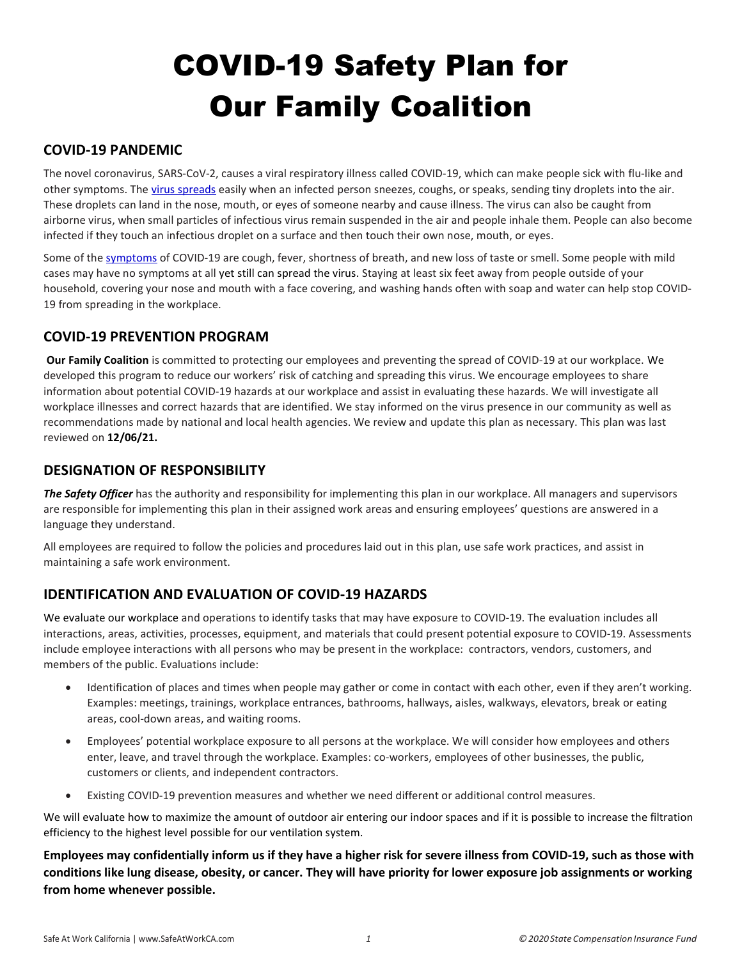# COVID-19 Safety Plan for Our Family Coalition

# COVID-19 PANDEMIC

The novel coronavirus, SARS-CoV-2, causes a viral respiratory illness called COVID-19, which can make people sick with flu-like and other symptoms. The virus spreads easily when an infected person sneezes, coughs, or speaks, sending tiny droplets into the air. These droplets can land in the nose, mouth, or eyes of someone nearby and cause illness. The virus can also be caught from airborne virus, when small particles of infectious virus remain suspended in the air and people inhale them. People can also become infected if they touch an infectious droplet on a surface and then touch their own nose, mouth, or eyes.

Some of the symptoms of COVID-19 are cough, fever, shortness of breath, and new loss of taste or smell. Some people with mild cases may have no symptoms at all yet still can spread the virus. Staying at least six feet away from people outside of your household, covering your nose and mouth with a face covering, and washing hands often with soap and water can help stop COVID-19 from spreading in the workplace.

# COVID-19 PREVENTION PROGRAM

Our Family Coalition is committed to protecting our employees and preventing the spread of COVID-19 at our workplace. We developed this program to reduce our workers' risk of catching and spreading this virus. We encourage employees to share information about potential COVID-19 hazards at our workplace and assist in evaluating these hazards. We will investigate all workplace illnesses and correct hazards that are identified. We stay informed on the virus presence in our community as well as recommendations made by national and local health agencies. We review and update this plan as necessary. This plan was last reviewed on 12/06/21.

## DESIGNATION OF RESPONSIBILITY

The Safety Officer has the authority and responsibility for implementing this plan in our workplace. All managers and supervisors are responsible for implementing this plan in their assigned work areas and ensuring employees' questions are answered in a language they understand.

All employees are required to follow the policies and procedures laid out in this plan, use safe work practices, and assist in maintaining a safe work environment.

# IDENTIFICATION AND EVALUATION OF COVID-19 HAZARDS

We evaluate our workplace and operations to identify tasks that may have exposure to COVID-19. The evaluation includes all interactions, areas, activities, processes, equipment, and materials that could present potential exposure to COVID-19. Assessments include employee interactions with all persons who may be present in the workplace: contractors, vendors, customers, and members of the public. Evaluations include:

- Identification of places and times when people may gather or come in contact with each other, even if they aren't working. Examples: meetings, trainings, workplace entrances, bathrooms, hallways, aisles, walkways, elevators, break or eating areas, cool-down areas, and waiting rooms.
- Employees' potential workplace exposure to all persons at the workplace. We will consider how employees and others enter, leave, and travel through the workplace. Examples: co-workers, employees of other businesses, the public, customers or clients, and independent contractors.
- Existing COVID-19 prevention measures and whether we need different or additional control measures.

We will evaluate how to maximize the amount of outdoor air entering our indoor spaces and if it is possible to increase the filtration efficiency to the highest level possible for our ventilation system.

Employees may confidentially inform us if they have a higher risk for severe illness from COVID-19, such as those with conditions like lung disease, obesity, or cancer. They will have priority for lower exposure job assignments or working from home whenever possible.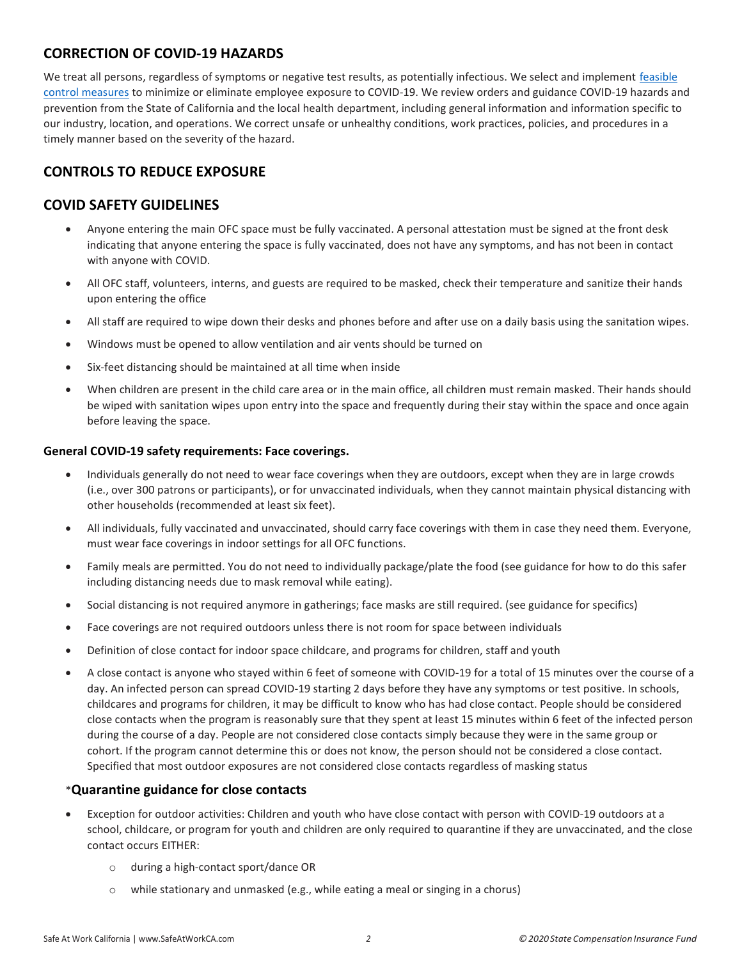# CORRECTION OF COVID-19 HAZARDS

We treat all persons, regardless of symptoms or negative test results, as potentially infectious. We select and implement feasible control measures to minimize or eliminate employee exposure to COVID-19. We review orders and guidance COVID-19 hazards and prevention from the State of California and the local health department, including general information and information specific to our industry, location, and operations. We correct unsafe or unhealthy conditions, work practices, policies, and procedures in a timely manner based on the severity of the hazard.

# CONTROLS TO REDUCE EXPOSURE

## COVID SAFETY GUIDELINES

- Anyone entering the main OFC space must be fully vaccinated. A personal attestation must be signed at the front desk indicating that anyone entering the space is fully vaccinated, does not have any symptoms, and has not been in contact with anyone with COVID.
- All OFC staff, volunteers, interns, and guests are required to be masked, check their temperature and sanitize their hands upon entering the office
- All staff are required to wipe down their desks and phones before and after use on a daily basis using the sanitation wipes.
- Windows must be opened to allow ventilation and air vents should be turned on
- Six-feet distancing should be maintained at all time when inside
- When children are present in the child care area or in the main office, all children must remain masked. Their hands should be wiped with sanitation wipes upon entry into the space and frequently during their stay within the space and once again before leaving the space.

#### General COVID-19 safety requirements: Face coverings.

- Individuals generally do not need to wear face coverings when they are outdoors, except when they are in large crowds (i.e., over 300 patrons or participants), or for unvaccinated individuals, when they cannot maintain physical distancing with other households (recommended at least six feet).
- All individuals, fully vaccinated and unvaccinated, should carry face coverings with them in case they need them. Everyone, must wear face coverings in indoor settings for all OFC functions.
- Family meals are permitted. You do not need to individually package/plate the food (see guidance for how to do this safer including distancing needs due to mask removal while eating).
- Social distancing is not required anymore in gatherings; face masks are still required. (see guidance for specifics)
- Face coverings are not required outdoors unless there is not room for space between individuals
- Definition of close contact for indoor space childcare, and programs for children, staff and youth
- A close contact is anyone who stayed within 6 feet of someone with COVID-19 for a total of 15 minutes over the course of a day. An infected person can spread COVID-19 starting 2 days before they have any symptoms or test positive. In schools, childcares and programs for children, it may be difficult to know who has had close contact. People should be considered close contacts when the program is reasonably sure that they spent at least 15 minutes within 6 feet of the infected person during the course of a day. People are not considered close contacts simply because they were in the same group or cohort. If the program cannot determine this or does not know, the person should not be considered a close contact. Specified that most outdoor exposures are not considered close contacts regardless of masking status

#### \*Quarantine guidance for close contacts

- Exception for outdoor activities: Children and youth who have close contact with person with COVID-19 outdoors at a school, childcare, or program for youth and children are only required to quarantine if they are unvaccinated, and the close contact occurs EITHER:
	- o during a high-contact sport/dance OR
	- o while stationary and unmasked (e.g., while eating a meal or singing in a chorus)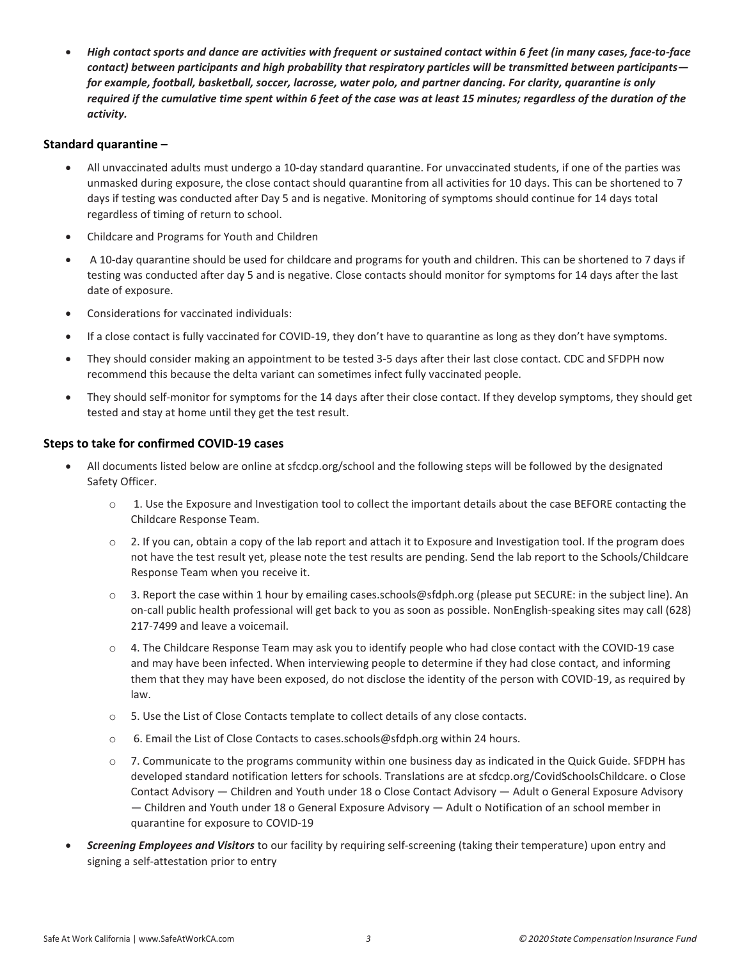High contact sports and dance are activities with frequent or sustained contact within 6 feet (in many cases, face-to-face contact) between participants and high probability that respiratory particles will be transmitted between participants for example, football, basketball, soccer, lacrosse, water polo, and partner dancing. For clarity, quarantine is only required if the cumulative time spent within 6 feet of the case was at least 15 minutes; regardless of the duration of the activity.

#### Standard quarantine –

- All unvaccinated adults must undergo a 10-day standard quarantine. For unvaccinated students, if one of the parties was unmasked during exposure, the close contact should quarantine from all activities for 10 days. This can be shortened to 7 days if testing was conducted after Day 5 and is negative. Monitoring of symptoms should continue for 14 days total regardless of timing of return to school.
- Childcare and Programs for Youth and Children
- A 10-day quarantine should be used for childcare and programs for youth and children. This can be shortened to 7 days if testing was conducted after day 5 and is negative. Close contacts should monitor for symptoms for 14 days after the last date of exposure.
- Considerations for vaccinated individuals:
- If a close contact is fully vaccinated for COVID-19, they don't have to quarantine as long as they don't have symptoms.
- They should consider making an appointment to be tested 3-5 days after their last close contact. CDC and SFDPH now recommend this because the delta variant can sometimes infect fully vaccinated people.
- They should self-monitor for symptoms for the 14 days after their close contact. If they develop symptoms, they should get tested and stay at home until they get the test result.

#### Steps to take for confirmed COVID-19 cases

- All documents listed below are online at sfcdcp.org/school and the following steps will be followed by the designated Safety Officer.
	- o 1. Use the Exposure and Investigation tool to collect the important details about the case BEFORE contacting the Childcare Response Team.
	- $\circ$  2. If you can, obtain a copy of the lab report and attach it to Exposure and Investigation tool. If the program does not have the test result yet, please note the test results are pending. Send the lab report to the Schools/Childcare Response Team when you receive it.
	- $\circ$  3. Report the case within 1 hour by emailing cases.schools@sfdph.org (please put SECURE: in the subject line). An on-call public health professional will get back to you as soon as possible. NonEnglish-speaking sites may call (628) 217-7499 and leave a voicemail.
	- $\circ$  4. The Childcare Response Team may ask you to identify people who had close contact with the COVID-19 case and may have been infected. When interviewing people to determine if they had close contact, and informing them that they may have been exposed, do not disclose the identity of the person with COVID-19, as required by law.
	- o 5. Use the List of Close Contacts template to collect details of any close contacts.
	- o 6. Email the List of Close Contacts to cases.schools@sfdph.org within 24 hours.
	- $\circ$  7. Communicate to the programs community within one business day as indicated in the Quick Guide. SFDPH has developed standard notification letters for schools. Translations are at sfcdcp.org/CovidSchoolsChildcare. o Close Contact Advisory — Children and Youth under 18 o Close Contact Advisory — Adult o General Exposure Advisory — Children and Youth under 18 o General Exposure Advisory — Adult o Notification of an school member in quarantine for exposure to COVID-19
- Screening Employees and Visitors to our facility by requiring self-screening (taking their temperature) upon entry and signing a self-attestation prior to entry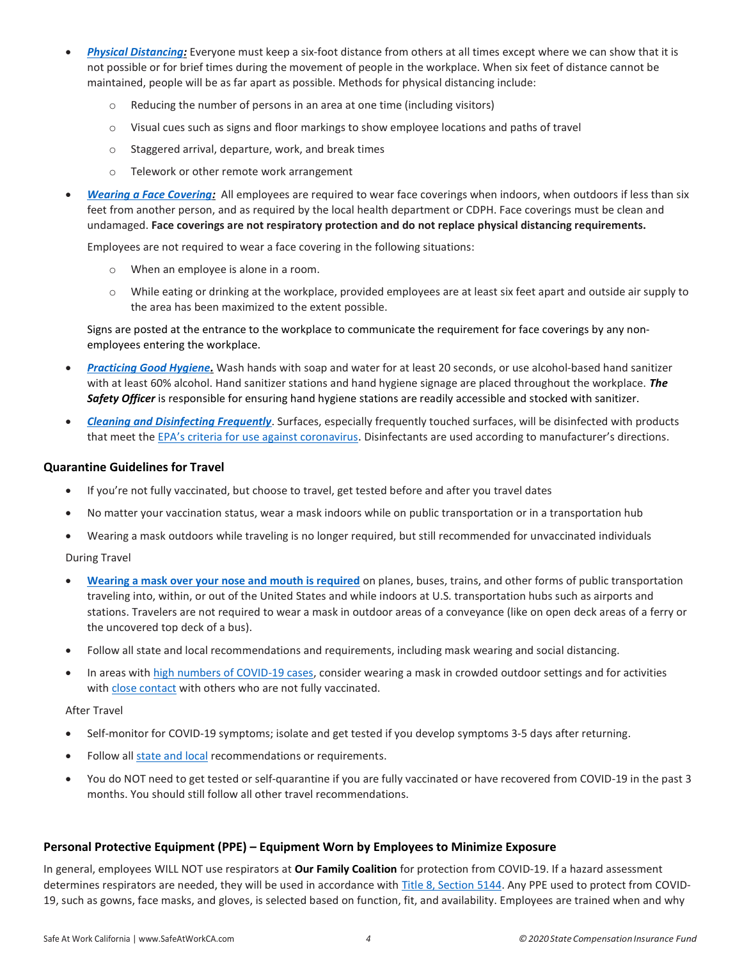- Physical Distancing: Everyone must keep a six-foot distance from others at all times except where we can show that it is not possible or for brief times during the movement of people in the workplace. When six feet of distance cannot be maintained, people will be as far apart as possible. Methods for physical distancing include:
	- Reducing the number of persons in an area at one time (including visitors)
	- o Visual cues such as signs and floor markings to show employee locations and paths of travel
	- o Staggered arrival, departure, work, and break times
	- o Telework or other remote work arrangement
- Wearing a Face Covering: All employees are required to wear face coverings when indoors, when outdoors if less than six feet from another person, and as required by the local health department or CDPH. Face coverings must be clean and undamaged. Face coverings are not respiratory protection and do not replace physical distancing requirements.

Employees are not required to wear a face covering in the following situations:

- o When an employee is alone in a room.
- o While eating or drinking at the workplace, provided employees are at least six feet apart and outside air supply to the area has been maximized to the extent possible.

Signs are posted at the entrance to the workplace to communicate the requirement for face coverings by any nonemployees entering the workplace.

- Practicing Good Hygiene. Wash hands with soap and water for at least 20 seconds, or use alcohol-based hand sanitizer with at least 60% alcohol. Hand sanitizer stations and hand hygiene signage are placed throughout the workplace. The Safety Officer is responsible for ensuring hand hygiene stations are readily accessible and stocked with sanitizer.
- Cleaning and Disinfecting Frequently. Surfaces, especially frequently touched surfaces, will be disinfected with products that meet the EPA's criteria for use against coronavirus. Disinfectants are used according to manufacturer's directions.

#### Quarantine Guidelines for Travel

- If you're not fully vaccinated, but choose to travel, get tested before and after you travel dates
- No matter your vaccination status, wear a mask indoors while on public transportation or in a transportation hub
- Wearing a mask outdoors while traveling is no longer required, but still recommended for unvaccinated individuals

During Travel

- Wearing a mask over your nose and mouth is required on planes, buses, trains, and other forms of public transportation traveling into, within, or out of the United States and while indoors at U.S. transportation hubs such as airports and stations. Travelers are not required to wear a mask in outdoor areas of a conveyance (like on open deck areas of a ferry or the uncovered top deck of a bus).
- Follow all state and local recommendations and requirements, including mask wearing and social distancing.
- In areas with high numbers of COVID-19 cases, consider wearing a mask in crowded outdoor settings and for activities with close contact with others who are not fully vaccinated.

After Travel

- Self-monitor for COVID-19 symptoms; isolate and get tested if you develop symptoms 3-5 days after returning.
- Follow all state and local recommendations or requirements.
- You do NOT need to get tested or self-quarantine if you are fully vaccinated or have recovered from COVID-19 in the past 3 months. You should still follow all other travel recommendations.

#### Personal Protective Equipment (PPE) – Equipment Worn by Employees to Minimize Exposure

In general, employees WILL NOT use respirators at Our Family Coalition for protection from COVID-19. If a hazard assessment determines respirators are needed, they will be used in accordance with Title 8, Section 5144. Any PPE used to protect from COVID-19, such as gowns, face masks, and gloves, is selected based on function, fit, and availability. Employees are trained when and why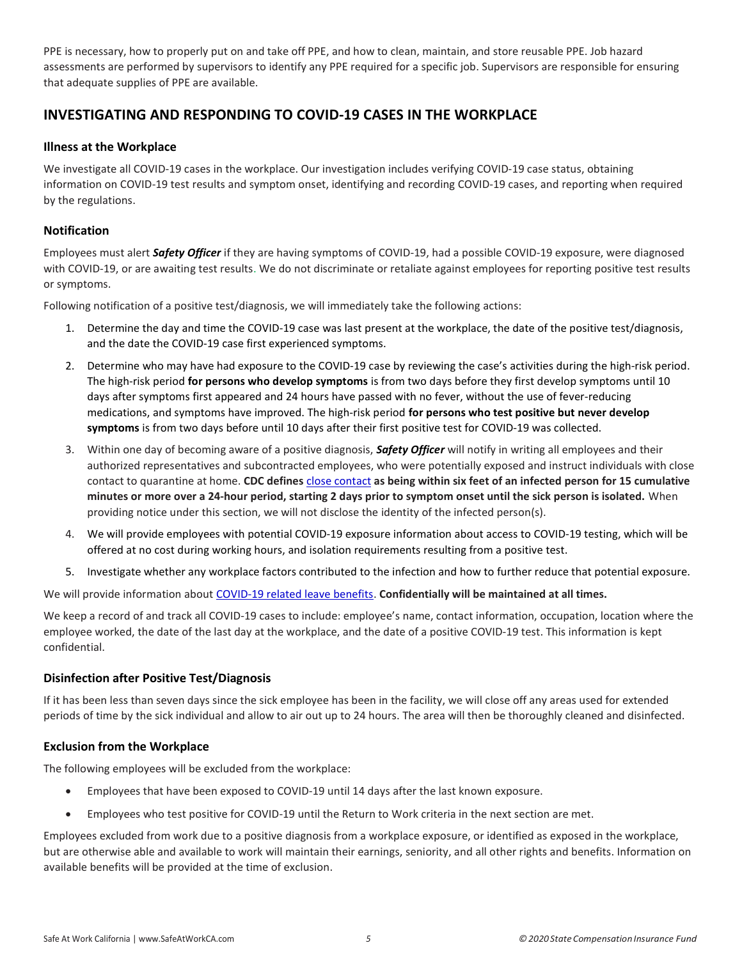PPE is necessary, how to properly put on and take off PPE, and how to clean, maintain, and store reusable PPE. Job hazard assessments are performed by supervisors to identify any PPE required for a specific job. Supervisors are responsible for ensuring that adequate supplies of PPE are available.

# INVESTIGATING AND RESPONDING TO COVID-19 CASES IN THE WORKPLACE

#### Illness at the Workplace

We investigate all COVID-19 cases in the workplace. Our investigation includes verifying COVID-19 case status, obtaining information on COVID-19 test results and symptom onset, identifying and recording COVID-19 cases, and reporting when required by the regulations.

#### **Notification**

Employees must alert Safety Officer if they are having symptoms of COVID-19, had a possible COVID-19 exposure, were diagnosed with COVID-19, or are awaiting test results. We do not discriminate or retaliate against employees for reporting positive test results or symptoms.

Following notification of a positive test/diagnosis, we will immediately take the following actions:

- 1. Determine the day and time the COVID-19 case was last present at the workplace, the date of the positive test/diagnosis, and the date the COVID-19 case first experienced symptoms.
- 2. Determine who may have had exposure to the COVID-19 case by reviewing the case's activities during the high-risk period. The high-risk period for persons who develop symptoms is from two days before they first develop symptoms until 10 days after symptoms first appeared and 24 hours have passed with no fever, without the use of fever-reducing medications, and symptoms have improved. The high-risk period for persons who test positive but never develop symptoms is from two days before until 10 days after their first positive test for COVID-19 was collected.
- 3. Within one day of becoming aware of a positive diagnosis, **Safety Officer** will notify in writing all employees and their authorized representatives and subcontracted employees, who were potentially exposed and instruct individuals with close contact to quarantine at home. CDC defines close contact as being within six feet of an infected person for 15 cumulative minutes or more over a 24-hour period, starting 2 days prior to symptom onset until the sick person is isolated. When providing notice under this section, we will not disclose the identity of the infected person(s).
- 4. We will provide employees with potential COVID-19 exposure information about access to COVID-19 testing, which will be offered at no cost during working hours, and isolation requirements resulting from a positive test.
- 5. Investigate whether any workplace factors contributed to the infection and how to further reduce that potential exposure.

We will provide information about COVID-19 related leave benefits. Confidentially will be maintained at all times.

We keep a record of and track all COVID-19 cases to include: employee's name, contact information, occupation, location where the employee worked, the date of the last day at the workplace, and the date of a positive COVID-19 test. This information is kept confidential.

#### Disinfection after Positive Test/Diagnosis

If it has been less than seven days since the sick employee has been in the facility, we will close off any areas used for extended periods of time by the sick individual and allow to air out up to 24 hours. The area will then be thoroughly cleaned and disinfected.

#### Exclusion from the Workplace

The following employees will be excluded from the workplace:

- Employees that have been exposed to COVID-19 until 14 days after the last known exposure.
- Employees who test positive for COVID-19 until the Return to Work criteria in the next section are met.

Employees excluded from work due to a positive diagnosis from a workplace exposure, or identified as exposed in the workplace, but are otherwise able and available to work will maintain their earnings, seniority, and all other rights and benefits. Information on available benefits will be provided at the time of exclusion.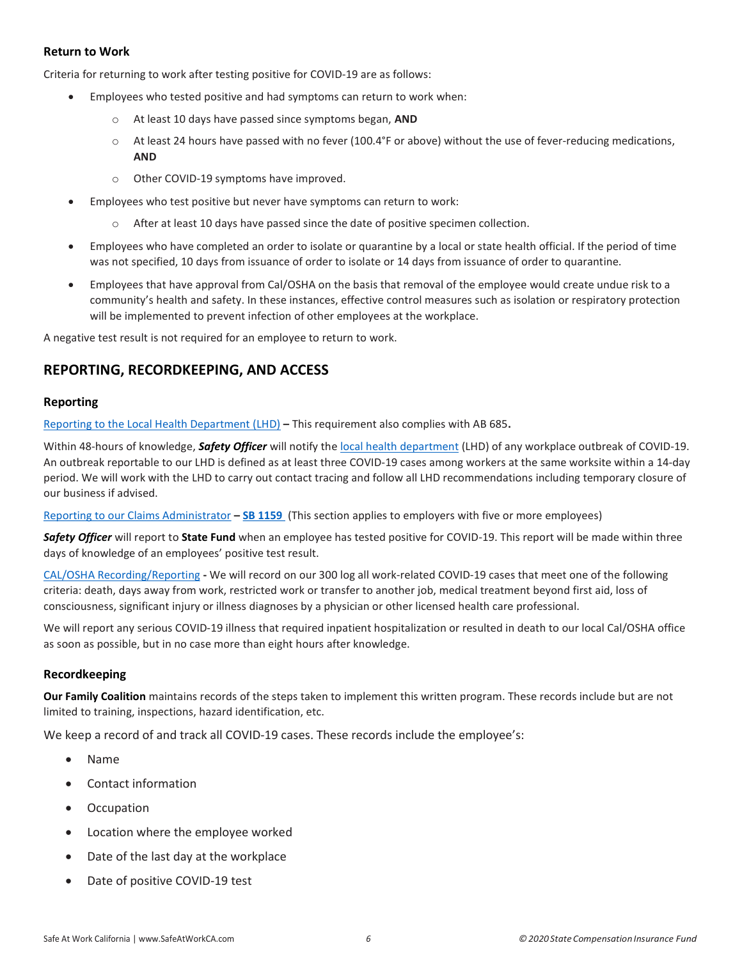#### Return to Work

Criteria for returning to work after testing positive for COVID-19 are as follows:

- Employees who tested positive and had symptoms can return to work when:
	- o At least 10 days have passed since symptoms began, AND
	- o At least 24 hours have passed with no fever (100.4°F or above) without the use of fever-reducing medications, AND
	- o Other COVID-19 symptoms have improved.
- Employees who test positive but never have symptoms can return to work:
	- $\circ$  After at least 10 days have passed since the date of positive specimen collection.
- Employees who have completed an order to isolate or quarantine by a local or state health official. If the period of time was not specified, 10 days from issuance of order to isolate or 14 days from issuance of order to quarantine.
- Employees that have approval from Cal/OSHA on the basis that removal of the employee would create undue risk to a community's health and safety. In these instances, effective control measures such as isolation or respiratory protection will be implemented to prevent infection of other employees at the workplace.

A negative test result is not required for an employee to return to work.

### REPORTING, RECORDKEEPING, AND ACCESS

#### Reporting

Reporting to the Local Health Department (LHD) – This requirement also complies with AB 685.

Within 48-hours of knowledge, Safety Officer will notify the local health department (LHD) of any workplace outbreak of COVID-19. An outbreak reportable to our LHD is defined as at least three COVID-19 cases among workers at the same worksite within a 14-day period. We will work with the LHD to carry out contact tracing and follow all LHD recommendations including temporary closure of our business if advised.

Reporting to our Claims Administrator - SB 1159 (This section applies to employers with five or more employees)

Safety Officer will report to State Fund when an employee has tested positive for COVID-19. This report will be made within three days of knowledge of an employees' positive test result.

CAL/OSHA Recording/Reporting - We will record on our 300 log all work-related COVID-19 cases that meet one of the following criteria: death, days away from work, restricted work or transfer to another job, medical treatment beyond first aid, loss of consciousness, significant injury or illness diagnoses by a physician or other licensed health care professional.

We will report any serious COVID-19 illness that required inpatient hospitalization or resulted in death to our local Cal/OSHA office as soon as possible, but in no case more than eight hours after knowledge.

#### Recordkeeping

Our Family Coalition maintains records of the steps taken to implement this written program. These records include but are not limited to training, inspections, hazard identification, etc.

We keep a record of and track all COVID-19 cases. These records include the employee's:

- Name
- Contact information
- **Occupation**
- Location where the employee worked
- Date of the last day at the workplace
- Date of positive COVID-19 test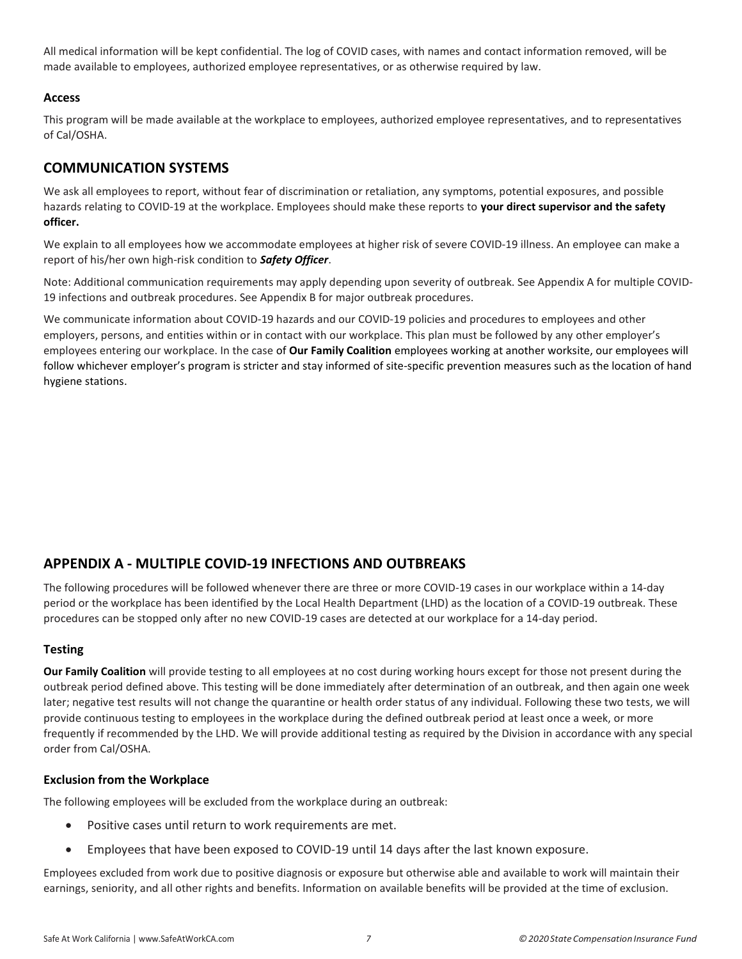All medical information will be kept confidential. The log of COVID cases, with names and contact information removed, will be made available to employees, authorized employee representatives, or as otherwise required by law.

#### Access

This program will be made available at the workplace to employees, authorized employee representatives, and to representatives of Cal/OSHA.

# COMMUNICATION SYSTEMS

We ask all employees to report, without fear of discrimination or retaliation, any symptoms, potential exposures, and possible hazards relating to COVID-19 at the workplace. Employees should make these reports to your direct supervisor and the safety officer.

We explain to all employees how we accommodate employees at higher risk of severe COVID-19 illness. An employee can make a report of his/her own high-risk condition to Safety Officer.

Note: Additional communication requirements may apply depending upon severity of outbreak. See Appendix A for multiple COVID-19 infections and outbreak procedures. See Appendix B for major outbreak procedures.

We communicate information about COVID-19 hazards and our COVID-19 policies and procedures to employees and other employers, persons, and entities within or in contact with our workplace. This plan must be followed by any other employer's employees entering our workplace. In the case of Our Family Coalition employees working at another worksite, our employees will follow whichever employer's program is stricter and stay informed of site-specific prevention measures such as the location of hand hygiene stations.

# APPENDIX A - MULTIPLE COVID-19 INFECTIONS AND OUTBREAKS

The following procedures will be followed whenever there are three or more COVID-19 cases in our workplace within a 14-day period or the workplace has been identified by the Local Health Department (LHD) as the location of a COVID-19 outbreak. These procedures can be stopped only after no new COVID-19 cases are detected at our workplace for a 14-day period.

#### **Testing**

Our Family Coalition will provide testing to all employees at no cost during working hours except for those not present during the outbreak period defined above. This testing will be done immediately after determination of an outbreak, and then again one week later; negative test results will not change the quarantine or health order status of any individual. Following these two tests, we will provide continuous testing to employees in the workplace during the defined outbreak period at least once a week, or more frequently if recommended by the LHD. We will provide additional testing as required by the Division in accordance with any special order from Cal/OSHA.

#### Exclusion from the Workplace

The following employees will be excluded from the workplace during an outbreak:

- Positive cases until return to work requirements are met.
- Employees that have been exposed to COVID-19 until 14 days after the last known exposure.

Employees excluded from work due to positive diagnosis or exposure but otherwise able and available to work will maintain their earnings, seniority, and all other rights and benefits. Information on available benefits will be provided at the time of exclusion.